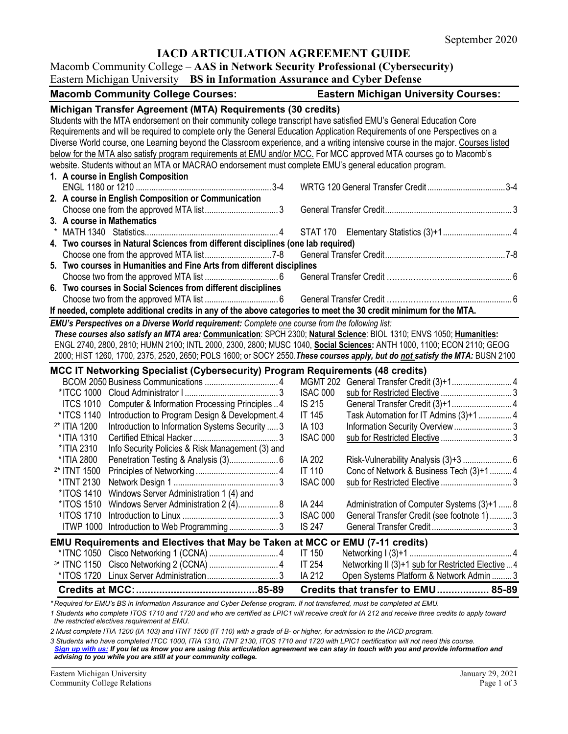## **IACD ARTICULATION AGREEMENT GUIDE**

#### Macomb Community College – **AAS in Network Security Professional (Cybersecurity)** Eastern Michigan University – **BS in Information Assurance and Cyber Defense**

| <b>Macomb Community College Courses:</b>                                                                                                                                                                                                                                                                                                                                                                                                            | <b>Eastern Michigan University Courses:</b>                    |  |  |
|-----------------------------------------------------------------------------------------------------------------------------------------------------------------------------------------------------------------------------------------------------------------------------------------------------------------------------------------------------------------------------------------------------------------------------------------------------|----------------------------------------------------------------|--|--|
| Michigan Transfer Agreement (MTA) Requirements (30 credits)<br>Students with the MTA endorsement on their community college transcript have satisfied EMU's General Education Core<br>Requirements and will be required to complete only the General Education Application Requirements of one Perspectives on a<br>Diverse World course, one Learning beyond the Classroom experience, and a writing intensive course in the major. Courses listed |                                                                |  |  |
| below for the MTA also satisfy program requirements at EMU and/or MCC. For MCC approved MTA courses go to Macomb's                                                                                                                                                                                                                                                                                                                                  |                                                                |  |  |
| website. Students without an MTA or MACRAO endorsement must complete EMU's general education program.                                                                                                                                                                                                                                                                                                                                               |                                                                |  |  |
| 1. A course in English Composition                                                                                                                                                                                                                                                                                                                                                                                                                  |                                                                |  |  |
|                                                                                                                                                                                                                                                                                                                                                                                                                                                     |                                                                |  |  |
| 2. A course in English Composition or Communication                                                                                                                                                                                                                                                                                                                                                                                                 |                                                                |  |  |
|                                                                                                                                                                                                                                                                                                                                                                                                                                                     |                                                                |  |  |
|                                                                                                                                                                                                                                                                                                                                                                                                                                                     |                                                                |  |  |
| 3. A course in Mathematics                                                                                                                                                                                                                                                                                                                                                                                                                          |                                                                |  |  |
|                                                                                                                                                                                                                                                                                                                                                                                                                                                     |                                                                |  |  |
| 4. Two courses in Natural Sciences from different disciplines (one lab required)                                                                                                                                                                                                                                                                                                                                                                    |                                                                |  |  |
|                                                                                                                                                                                                                                                                                                                                                                                                                                                     |                                                                |  |  |
| 5. Two courses in Humanities and Fine Arts from different disciplines                                                                                                                                                                                                                                                                                                                                                                               |                                                                |  |  |
|                                                                                                                                                                                                                                                                                                                                                                                                                                                     |                                                                |  |  |
| 6. Two courses in Social Sciences from different disciplines                                                                                                                                                                                                                                                                                                                                                                                        |                                                                |  |  |
|                                                                                                                                                                                                                                                                                                                                                                                                                                                     |                                                                |  |  |
| If needed, complete additional credits in any of the above categories to meet the 30 credit minimum for the MTA.                                                                                                                                                                                                                                                                                                                                    |                                                                |  |  |
| EMU's Perspectives on a Diverse World requirement: Complete one course from the following list:                                                                                                                                                                                                                                                                                                                                                     |                                                                |  |  |
| These courses also satisfy an MTA area: Communication: SPCH 2300; Natural Science: BIOL 1310; ENVS 1050; Humanities:                                                                                                                                                                                                                                                                                                                                |                                                                |  |  |
| ENGL 2740, 2800, 2810; HUMN 2100; INTL 2000, 2300, 2800; MUSC 1040, Social Sciences: ANTH 1000, 1100; ECON 2110; GEOG                                                                                                                                                                                                                                                                                                                               |                                                                |  |  |
| 2000; HIST 1260, 1700, 2375, 2520, 2650; POLS 1600; or SOCY 2550. These courses apply, but do not satisfy the MTA: BUSN 2100                                                                                                                                                                                                                                                                                                                        |                                                                |  |  |
| <b>MCC IT Networking Specialist (Cybersecurity) Program Requirements (48 credits)</b>                                                                                                                                                                                                                                                                                                                                                               |                                                                |  |  |
|                                                                                                                                                                                                                                                                                                                                                                                                                                                     |                                                                |  |  |
| *ITCC 1000                                                                                                                                                                                                                                                                                                                                                                                                                                          | <b>ISAC 000</b>                                                |  |  |
| Computer & Information Processing Principles  4<br><b>ITCS 1010</b>                                                                                                                                                                                                                                                                                                                                                                                 | IS 215                                                         |  |  |
| *ITCS 1140<br>Introduction to Program Design & Development. 4                                                                                                                                                                                                                                                                                                                                                                                       | Task Automation for IT Admins (3)+1  4<br>IT 145               |  |  |
| Introduction to Information Systems Security  3<br><sup>2*</sup> ITIA 1200                                                                                                                                                                                                                                                                                                                                                                          | IA 103<br>Information Security Overview3                       |  |  |
| * ITIA 1310                                                                                                                                                                                                                                                                                                                                                                                                                                         | <b>ISAC 000</b>                                                |  |  |
| Info Security Policies & Risk Management (3) and<br>*ITIA 2310                                                                                                                                                                                                                                                                                                                                                                                      |                                                                |  |  |
| * ITIA 2800                                                                                                                                                                                                                                                                                                                                                                                                                                         | IA 202<br>Risk-Vulnerability Analysis (3)+3  6                 |  |  |
| <sup>2*</sup> ITNT 1500                                                                                                                                                                                                                                                                                                                                                                                                                             | Conc of Network & Business Tech (3)+14<br><b>IT 110</b>        |  |  |
| *ITNT 2130                                                                                                                                                                                                                                                                                                                                                                                                                                          | <b>ISAC 000</b>                                                |  |  |
| Windows Server Administration 1 (4) and<br>*ITOS 1410                                                                                                                                                                                                                                                                                                                                                                                               |                                                                |  |  |
| *ITOS 1510 Windows Server Administration 2 (4) 8                                                                                                                                                                                                                                                                                                                                                                                                    | IA 244<br>Administration of Computer Systems (3)+1  8          |  |  |
| <sup>1</sup> ITOS 1710                                                                                                                                                                                                                                                                                                                                                                                                                              | <b>ISAC 000</b><br>General Transfer Credit (see footnote 1)  3 |  |  |
| ITWP 1000 Introduction to Web Programming3                                                                                                                                                                                                                                                                                                                                                                                                          | <b>IS 247</b>                                                  |  |  |
|                                                                                                                                                                                                                                                                                                                                                                                                                                                     |                                                                |  |  |
| <b>EMU Requirements and Electives that May be Taken at MCC or EMU (7-11 credits)</b>                                                                                                                                                                                                                                                                                                                                                                |                                                                |  |  |
|                                                                                                                                                                                                                                                                                                                                                                                                                                                     | <b>IT 150</b>                                                  |  |  |
|                                                                                                                                                                                                                                                                                                                                                                                                                                                     | IT 254<br>Networking II (3)+1 sub for Restricted Elective  4   |  |  |
| *ITOS 1720 Linux Server Administration3                                                                                                                                                                                                                                                                                                                                                                                                             | IA 212<br>Open Systems Platform & Network Admin  3             |  |  |
| posuired for EMI in PS in Information Apellicanes and Cuber Defense program. If not transferred, must be completed at EMI L                                                                                                                                                                                                                                                                                                                         | Credits that transfer to EMU 85-89                             |  |  |

*\* Required for EMU's BS in Information Assurance and Cyber Defense program. If not transferred, must be completed at EMU.* 

*1 Students who complete ITOS 1710 and 1720 and who are certified as LPIC1 will receive credit for IA 212 and receive three credits to apply toward the restricted electives requirement at EMU.*

*2 Must complete ITIA 1200 (IA 103) and ITNT 1500 (IT 110) with a grade of B- or higher, for admission to the IACD program.*

*3 Students who have completed ITCC 1000, ITIA 1310, ITNT 2130, ITOS 1710 and 1720 with LPIC1 certification will not need this course. [Sign up with us:](https://www.emich.edu/ccr/articulation-agreements/signup.php) If you let us know you are using this articulation agreement we can stay in touch with you and provide information and advising to you while you are still at your community college.*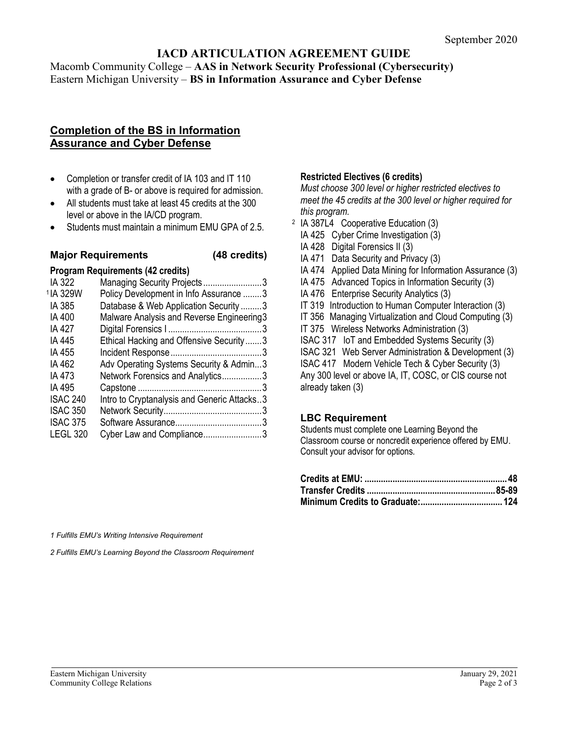# **IACD ARTICULATION AGREEMENT GUIDE**

Macomb Community College – **AAS in Network Security Professional (Cybersecurity)** Eastern Michigan University – **BS in Information Assurance and Cyber Defense**

## **Completion of the BS in Information Assurance and Cyber Defense**

- Completion or transfer credit of IA 103 and IT 110 with a grade of B- or above is required for admission.
- All students must take at least 45 credits at the 300 level or above in the IA/CD program.
- Students must maintain a minimum EMU GPA of 2.5.

### **Major Requirements (48 credits)**

# **Program Requirements (42 credits)**

| Managing Security Projects3                 |  |
|---------------------------------------------|--|
| Policy Development in Info Assurance 3      |  |
| Database & Web Application Security3        |  |
| Malware Analysis and Reverse Engineering3   |  |
|                                             |  |
| Ethical Hacking and Offensive Security3     |  |
|                                             |  |
| Adv Operating Systems Security & Admin3     |  |
| Network Forensics and Analytics3            |  |
|                                             |  |
| Intro to Cryptanalysis and Generic Attacks3 |  |
|                                             |  |
|                                             |  |
| Cyber Law and Compliance3                   |  |
|                                             |  |

#### **Restricted Electives (6 credits)**

*Must choose 300 level or higher restricted electives to meet the 45 credits at the 300 level or higher required for this program.*

- <sup>2</sup> IA 387L4 Cooperative Education (3)
	- IA 425 Cyber Crime Investigation (3)
	- IA 428 Digital Forensics II (3)
	- IA 471 Data Security and Privacy (3)
	- IA 474 Applied Data Mining for Information Assurance (3)
	- IA 475 Advanced Topics in Information Security (3)
	- IA 476 Enterprise Security Analytics (3)
	- IT 319 Introduction to Human Computer Interaction (3)
	- IT 356 Managing Virtualization and Cloud Computing (3)
	- IT 375 Wireless Networks Administration (3)
	- ISAC 317 IoT and Embedded Systems Security (3)
	- ISAC 321 Web Server Administration & Development (3)

ISAC 417 Modern Vehicle Tech & Cyber Security (3) Any 300 level or above IA, IT, COSC, or CIS course not already taken (3)

#### **LBC Requirement**

Students must complete one Learning Beyond the Classroom course or noncredit experience offered by EMU. Consult your advisor for options.

*1 Fulfills EMU's Writing Intensive Requirement*

*2 Fulfills EMU's Learning Beyond the Classroom Requirement*